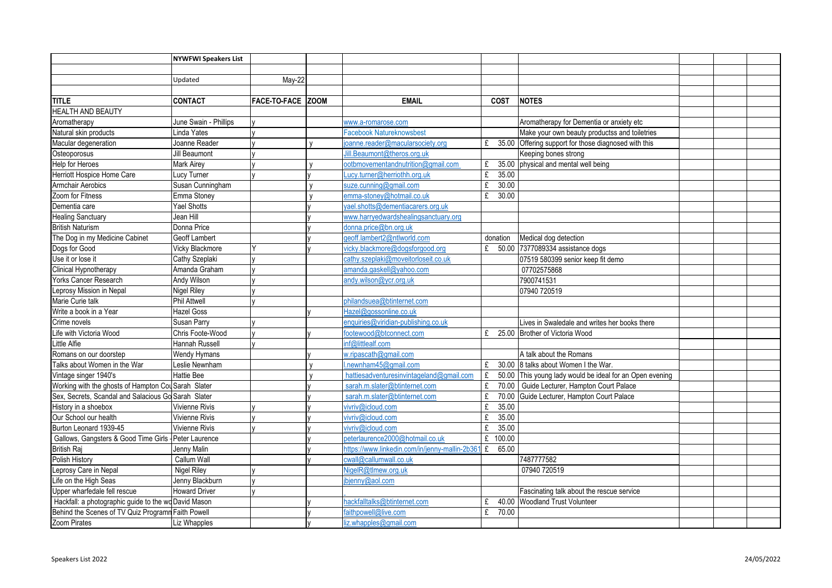|                                                       | <b>NYWFWI Speakers List</b> |                   |                                                |             |                                                          |  |  |
|-------------------------------------------------------|-----------------------------|-------------------|------------------------------------------------|-------------|----------------------------------------------------------|--|--|
|                                                       |                             |                   |                                                |             |                                                          |  |  |
|                                                       | Updated                     | May-22            |                                                |             |                                                          |  |  |
|                                                       |                             |                   |                                                |             |                                                          |  |  |
| <b>ITITLE</b>                                         | <b>CONTACT</b>              | FACE-TO-FACE ZOOM | <b>EMAIL</b>                                   | <b>COST</b> | <b>NOTES</b>                                             |  |  |
| <b>HEALTH AND BEAUTY</b>                              |                             |                   |                                                |             |                                                          |  |  |
| Aromatherapy                                          | June Swain - Phillips       |                   | www.a-romarose.com                             |             | Aromatherapy for Dementia or anxiety etc                 |  |  |
| Natural skin products                                 | Linda Yates                 |                   | Facebook Natureknowsbest                       |             | Make your own beauty productss and toiletries            |  |  |
| Macular degeneration                                  | Joanne Reader               |                   | oanne.reader@macularsociety.org                | £           | 35.00 Offering support for those diagnosed with this     |  |  |
| Osteoporosus                                          | <b>Jill Beaumont</b>        |                   | ill.Beaumont@theros.org.uk                     |             | Keeping bones strong                                     |  |  |
| <b>Help for Heroes</b>                                | <b>Mark Airev</b>           |                   | ootbmovementandnutrition@gmail.com             | £           | 35.00 physical and mental well being                     |  |  |
| Herriott Hospice Home Care                            | Lucy Turner                 |                   | ucy.turner@herriothh.org.uk                    | £<br>35.00  |                                                          |  |  |
| <b>Armchair Aerobics</b>                              | Susan Cunningham            |                   | suze.cunning@gmail.com                         | 30.00<br>£  |                                                          |  |  |
| Zoom for Fitness                                      | Emma Stoney                 |                   | emma-stoney@hotmail.co.uk                      | 30.00<br>£  |                                                          |  |  |
| Dementia care                                         | <b>Yael Shotts</b>          |                   | yael.shotts@dementiacarers.org.uk              |             |                                                          |  |  |
| <b>Healing Sanctuary</b>                              | Jean Hill                   |                   | www.harryedwardshealingsanctuary.org           |             |                                                          |  |  |
| <b>British Naturism</b>                               | Donna Price                 |                   | donna.price@bn.org.uk                          |             |                                                          |  |  |
| The Dog in my Medicine Cabinet                        | Geoff Lambert               |                   | geoff.lambert2@ntlworld.com                    | donation    | Medical dog detection                                    |  |  |
| Dogs for Good                                         | Vicky Blackmore             |                   | vicky.blackmore@dogsforgood.org                | £           | 50.00 7377089334 assistance dogs                         |  |  |
| Use it or lose it                                     | Cathy Szeplaki              |                   | cathy.szeplaki@moveitorloseit.co.uk            |             | 07519 580399 senior keep fit demo                        |  |  |
| Clinical Hypnotherapy                                 | Amanda Graham               |                   | amanda.gaskell@yahoo.com                       |             | 07702575868                                              |  |  |
| Yorks Cancer Research                                 | Andy Wilson                 |                   | andy.wilson@ycr.org.uk                         |             | 7900741531                                               |  |  |
| Leprosy Mission in Nepal                              | <b>Nigel Riley</b>          |                   |                                                |             | 07940 720519                                             |  |  |
| Marie Curie talk                                      | <b>Phil Attwell</b>         |                   | philandsuea@btinternet.com                     |             |                                                          |  |  |
| Write a book in a Year                                | <b>Hazel Goss</b>           |                   | Hazel@gossonline.co.uk                         |             |                                                          |  |  |
| Crime novels                                          | Susan Parry                 |                   | enquiries@viridian-publishing.co.uk            |             | Lives in Swaledale and writes her books there            |  |  |
| Life with Victoria Wood                               | Chris Foote-Wood            |                   | footewood@btconnect.com                        | £           | 25.00 Brother of Victoria Wood                           |  |  |
| <b>Little Alfie</b>                                   | Hannah Russell              |                   | inf@littlealf.com                              |             |                                                          |  |  |
| Romans on our doorstep                                | Wendy Hymans                |                   | w.ripascath@gmail.com                          |             | A talk about the Romans                                  |  |  |
| Talks about Women in the War                          | Leslie Newnham              |                   | newnham45@gmail.com                            | £           | 30.00 8 talks about Women I the War.                     |  |  |
| Vintage singer 1940's                                 | <b>Hattie Bee</b>           |                   | hattiesadventuresinvintageland@gmail.com       | £           | 50.00 This young lady would be ideal for an Open evening |  |  |
| Working with the ghosts of Hampton Cou Sarah Slater   |                             |                   | sarah.m.slater@btinternet.com                  | £           | 70.00 Guide Lecturer, Hampton Court Palace               |  |  |
| Sex, Secrets, Scandal and Salacious Go Sarah Slater   |                             |                   | sarah.m.slater@btinternet.com                  | £           | 70.00 Guide Lecturer, Hampton Court Palace               |  |  |
| History in a shoebox                                  | <b>Vivienne Rivis</b>       |                   | vivriv@icloud.com                              | 35.00<br>£  |                                                          |  |  |
| Our School our health                                 | Vivienne Rivis              |                   | vivriv@icloud.com                              | 35.00<br>£  |                                                          |  |  |
| Burton Leonard 1939-45                                | <b>Vivienne Rivis</b>       |                   | vivriv@icloud.com                              | 35.00<br>£  |                                                          |  |  |
| Gallows, Gangsters & Good Time Girls - Peter Laurence |                             |                   | peterlaurence2000@hotmail.co.uk                | 100.00<br>£ |                                                          |  |  |
| <b>British Raj</b>                                    | Jenny Malin                 |                   | https://www.linkedin.com/in/jenny-mallin-2b361 | 65.00<br>£  |                                                          |  |  |
| Polish History                                        | Callum Wall                 |                   | cwall@callumwall.co.uk                         |             | 7487777582                                               |  |  |
| Leprosy Care in Nepal                                 | <b>Nigel Riley</b>          |                   | NigelR@tImew.org.uk                            |             | 07940 720519                                             |  |  |
| Life on the High Seas                                 | Jenny Blackburn             |                   | bjenny@aol.com                                 |             |                                                          |  |  |
| Upper wharfedale fell rescue                          | <b>Howard Driver</b>        |                   |                                                |             | Fascinating talk about the rescue service                |  |  |
| Hackfall: a photographic guide to the wo David Mason  |                             |                   | nackfalltalks@btinternet.com                   | £           | 40.00 Woodland Trust Volunteer                           |  |  |
| Behind the Scenes of TV Quiz Programn Faith Powell    |                             |                   | faithpowell@live.com                           | £<br>70.00  |                                                          |  |  |
| Zoom Pirates                                          | Liz Whapples                |                   | liz.whapples@gmail.com                         |             |                                                          |  |  |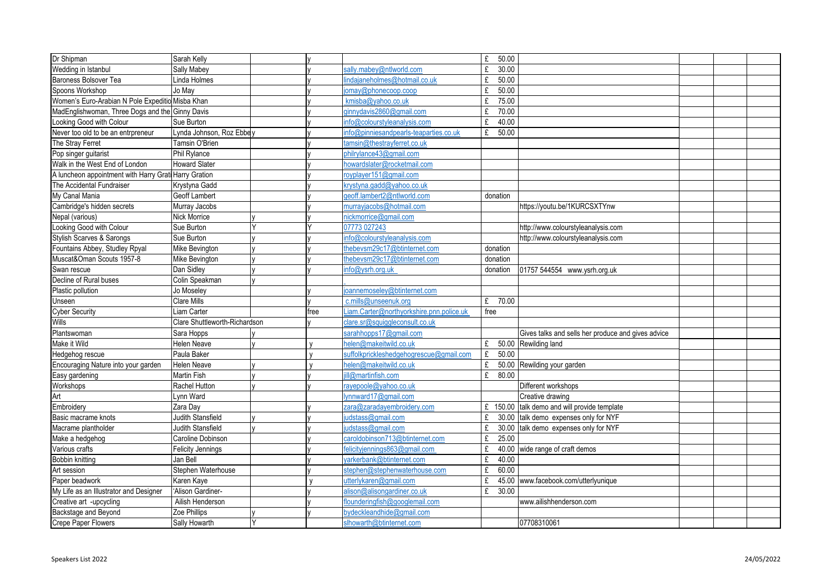| Dr Shipman                                            | Sarah Kelly                   |  |      |                                          | £    | 50.00     |                                                    |  |  |
|-------------------------------------------------------|-------------------------------|--|------|------------------------------------------|------|-----------|----------------------------------------------------|--|--|
| Wedding in Istanbul                                   | <b>Sally Mabey</b>            |  |      | sally.mabey@ntlworld.com                 | £    | 30.00     |                                                    |  |  |
| Baroness Bolsover Tea                                 | inda Holmes                   |  |      | ndajaneholmes@hotmail.co.uk              | £    | 50.00     |                                                    |  |  |
| Spoons Workshop                                       | Jo May                        |  |      | omay@phonecoop.coop                      | £    | 50.00     |                                                    |  |  |
| Women's Euro-Arabian N Pole Expeditio Misba Khan      |                               |  |      | kmisba@yahoo.co.uk                       | £    | 75.00     |                                                    |  |  |
| MadEnglishwoman, Three Dogs and the Ginny Davis       |                               |  |      | ginnydavis2860@gmail.com                 | £    | 70.00     |                                                    |  |  |
| Looking Good with Colour                              | Sue Burton                    |  |      | nfo@colourstyleanalysis.com              | £    | 40.00     |                                                    |  |  |
| Never too old to be an entrpreneur                    | Lynda Johnson, Roz Ebbey      |  |      | nfo@pinniesandpearls-teaparties.co.uk    | £    | 50.00     |                                                    |  |  |
| The Stray Ferret                                      | Tamsin O'Brien                |  |      | amsin@thestrayferret.co.uk               |      |           |                                                    |  |  |
| Pop singer guitarist                                  | Phil Rylance                  |  |      | philrylance43@gmail.com                  |      |           |                                                    |  |  |
| Walk in the West End of London                        | <b>Howard Slater</b>          |  |      | howardslater@rocketmail.com              |      |           |                                                    |  |  |
| A luncheon appointment with Harry Grati Harry Gration |                               |  |      | royplayer151@gmail.com                   |      |           |                                                    |  |  |
| The Accidental Fundraiser                             | Krystyna Gadd                 |  |      | krystyna.gadd@yahoo.co.uk                |      |           |                                                    |  |  |
| My Canal Mania                                        | Geoff Lambert                 |  |      | geoff.lambert2@ntlworld.com              |      | donation  |                                                    |  |  |
| Cambridge's hidden secrets                            | Murray Jacobs                 |  |      | murrayjacobs@hotmail.com                 |      |           | https://youtu.be/1KURCSXTYnw                       |  |  |
| Nepal (various)                                       | Nick Morrice                  |  |      | nickmorrice@gmail.com                    |      |           |                                                    |  |  |
| Looking Good with Colour                              | Sue Burton                    |  |      | 07773 027243                             |      |           | http://www.colourstyleanalysis.com                 |  |  |
| <b>Stylish Scarves &amp; Sarongs</b>                  | Sue Burton                    |  |      | nfo@colourstyleanalysis.com              |      |           | http://www.colourstyleanalysis.com                 |  |  |
| Fountains Abbey, Studley Rpyal                        | Mike Bevington                |  |      | thebevsm29c17@btinternet.com             |      | donation  |                                                    |  |  |
| Muscat&Oman Scouts 1957-8                             | Mike Bevington                |  |      | hebevsm29c17@btinternet.com              |      | donation  |                                                    |  |  |
| Swan rescue                                           | Dan Sidley                    |  |      | nfo@ysrh.org.uk                          |      | donation  | 01757 544554 www.ysrh.org.uk                       |  |  |
| Decline of Rural buses                                | Colin Speakman                |  |      |                                          |      |           |                                                    |  |  |
| Plastic pollution                                     | Jo Moseley                    |  |      | oannemoseley@btinternet.com              |      |           |                                                    |  |  |
| Unseen                                                | Clare Mills                   |  |      | c.mills@unseenuk.org                     |      | £ $70.00$ |                                                    |  |  |
| <b>Cyber Security</b>                                 | Liam Carter                   |  | free | .iam.Carter@northyorkshire.pnn.police.uk | free |           |                                                    |  |  |
| Wills                                                 | Clare Shuttleworth-Richardson |  |      | lare.sr@squiggleconsult.co.uk            |      |           |                                                    |  |  |
| Plantswoman                                           | Sara Hopps                    |  |      | sarahhopps17@gmail.com                   |      |           | Gives talks and sells her produce and gives advice |  |  |
| Make it Wild                                          | Helen Neave                   |  |      | nelen@makeitwild.co.uk                   | £    |           | 50.00 Rewilding land                               |  |  |
| Hedgehog rescue                                       | Paula Baker                   |  |      | suffolkprickleshedgehogrescue@gmail.com  | £    | 50.00     |                                                    |  |  |
| Encouraging Nature into your garden                   | <b>Helen Neave</b>            |  |      | nelen@makeitwild.co.uk                   | £    |           | 50.00 Rewilding your garden                        |  |  |
| Easy gardening                                        | Martin Fish                   |  |      | Il@martinfish.com                        | £    | 80.00     |                                                    |  |  |
| Workshops                                             | Rachel Hutton                 |  |      | avepoole@vahoo.co.uk                     |      |           | Different workshops                                |  |  |
| Art                                                   | ynn Ward                      |  |      | ynnward17@gmail.com                      |      |           | Creative drawing                                   |  |  |
| Embroidery                                            | Zara Dav                      |  |      | zara@zaradayembroidery.com               |      |           | £ 150.00 talk demo and will provide template       |  |  |
| Basic macrame knots                                   | <b>Judith Stansfield</b>      |  |      | udstass@gmail.com                        | £    |           | 30.00 talk demo expenses only for NYF              |  |  |
| Macrame plantholder                                   | <b>Judith Stansfield</b>      |  |      | udstass@gmail.com                        | £    |           | 30.00 talk demo expenses only for NYF              |  |  |
| Make a hedgehog                                       | Caroline Dobinson             |  |      | caroldobinson713@btinternet.com          | £    | 25.00     |                                                    |  |  |
| Various crafts                                        | Felicity Jennings             |  |      | elicityjennings863@gmail.com             | £    |           | 40.00 wide range of craft demos                    |  |  |
| <b>Bobbin knitting</b>                                | Jan Bell                      |  |      | varkerbank@btinternet.com                | £    | 40.00     |                                                    |  |  |
| Art session                                           | Stephen Waterhouse            |  |      | stephen@stephenwaterhouse.com            | £    | 60.00     |                                                    |  |  |
| Paper beadwork                                        | Karen Kaye                    |  |      | utterlykaren@gmail.com                   | £    |           | 45.00 www.facebook.com/utterlyunique               |  |  |
| My Life as an Illustrator and Designer                | 'Alison Gardiner-             |  |      | alison@alisongardiner.co.uk              | £    | 30.00     |                                                    |  |  |
| Creative art -upcycling                               | Ailish Henderson              |  |      | flounderingfish@googlemail.com           |      |           | www.ailishhenderson.com                            |  |  |
| Backstage and Beyond                                  | Zoe Phillips                  |  |      | bydeckleandhide@gmail.com                |      |           |                                                    |  |  |
| <b>Crepe Paper Flowers</b>                            | Sally Howarth                 |  |      | slhowarth@btinternet.com                 |      |           | 07708310061                                        |  |  |